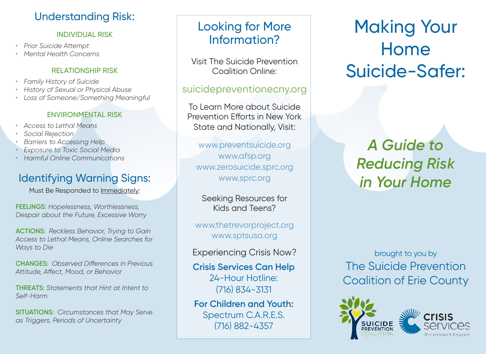## Understanding Risk:

#### INDIVIDUAL RISK

- *• Prior Suicide Attempt*
- *• Mental Health Concerns*

#### RELATIONSHIP RISK

- *• Family History of Suicide*
- *• History of Sexual or Physical Abuse*
- *• Loss of Someone/Something Meaningful*

#### ENVIRONMENTAL RISK

- *• Access to Lethal Means*
- *• Social Rejection*
- *• Barriers to Accessing Help*
- *• Exposure to Toxic Social Media*
- *• Harmful Online Communications*

## Identifying Warning Signs:

Must Be Responded to Immediately:

**FEELINGS:** *Hopelessness, Worthlessness, Despair about the Future, Excessive Worry*

**ACTIONS:** *Reckless Behavior, Trying to Gain Access to Lethal Means, Online Searches for Ways to Die*

**CHANGES:** *Observed Differences in Previous Attitude, Affect, Mood, or Behavior*

**THREATS:** *Statements that Hint at Intent to Self-Harm*

**SITUATIONS:** *Circumstances that May Serve as Triggers, Periods of Uncertainty*

## Looking for More Information?

Visit The Suicide Prevention Coalition Online:

### suicidepreventionecny.org

To Learn More about Suicide Prevention Efforts in New York State and Nationally, Visit:

www.preventsuicide.org www.afsp.org www.zerosuicide.sprc.org www.sprc.org

Seeking Resources for Kids and Teens?

www.thetrevorproject.org www.sptsusa.org

Experiencing Crisis Now?

**Crisis Services Can Help** 24-Hour Hotline: (716) 834-3131

**For Children and Youth:** Spectrum C.A.R.E.S. (716) 882-4357

Making Your Home Suicide-Safer:

# *A Guide to Reducing Risk in Your Home*

brought to you by The Suicide Prevention Coalition of Erie County